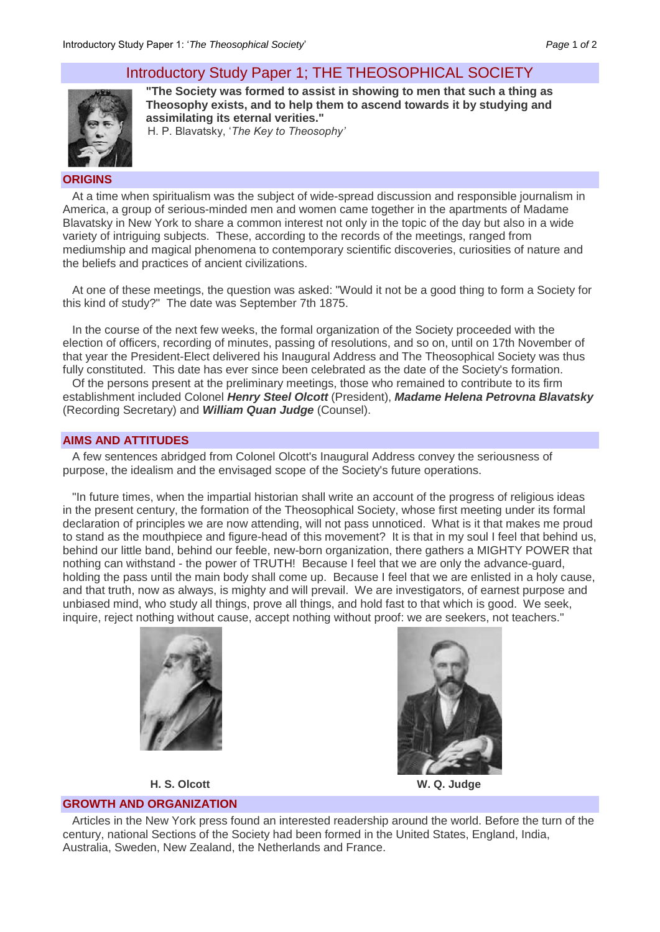# Introductory Study Paper 1; THE THEOSOPHICAL SOCIETY



**"The Society was formed to assist in showing to men that such a thing as Theosophy exists, and to help them to ascend towards it by studying and assimilating its eternal verities."**

H. P. Blavatsky, '*The Key to Theosophy'*

#### **ORIGINS**

At a time when spiritualism was the subject of wide-spread discussion and responsible journalism in America, a group of serious-minded men and women came together in the apartments of Madame Blavatsky in New York to share a common interest not only in the topic of the day but also in a wide variety of intriguing subjects. These, according to the records of the meetings, ranged from mediumship and magical phenomena to contemporary scientific discoveries, curiosities of nature and the beliefs and practices of ancient civilizations.

At one of these meetings, the question was asked: "Would it not be a good thing to form a Society for this kind of study?" The date was September 7th 1875.

In the course of the next few weeks, the formal organization of the Society proceeded with the election of officers, recording of minutes, passing of resolutions, and so on, until on 17th November of that year the President-Elect delivered his Inaugural Address and The Theosophical Society was thus fully constituted. This date has ever since been celebrated as the date of the Society's formation.

Of the persons present at the preliminary meetings, those who remained to contribute to its firm establishment included Colonel *Henry Steel Olcott* (President), *Madame Helena Petrovna Blavatsky* (Recording Secretary) and *William Quan Judge* (Counsel).

### **AIMS AND ATTITUDES**

A few sentences abridged from Colonel Olcott's Inaugural Address convey the seriousness of purpose, the idealism and the envisaged scope of the Society's future operations.

"In future times, when the impartial historian shall write an account of the progress of religious ideas in the present century, the formation of the Theosophical Society, whose first meeting under its formal declaration of principles we are now attending, will not pass unnoticed. What is it that makes me proud to stand as the mouthpiece and figure-head of this movement? It is that in my soul I feel that behind us, behind our little band, behind our feeble, new-born organization, there gathers a MIGHTY POWER that nothing can withstand - the power of TRUTH! Because I feel that we are only the advance-guard, holding the pass until the main body shall come up. Because I feel that we are enlisted in a holy cause, and that truth, now as always, is mighty and will prevail. We are investigators, of earnest purpose and unbiased mind, who study all things, prove all things, and hold fast to that which is good. We seek, inquire, reject nothing without cause, accept nothing without proof: we are seekers, not teachers."





**H. S. Olcott W. Q. Judge**

## **GROWTH AND ORGANIZATION**

Articles in the New York press found an interested readership around the world. Before the turn of the century, national Sections of the Society had been formed in the United States, England, India, Australia, Sweden, New Zealand, the Netherlands and France.